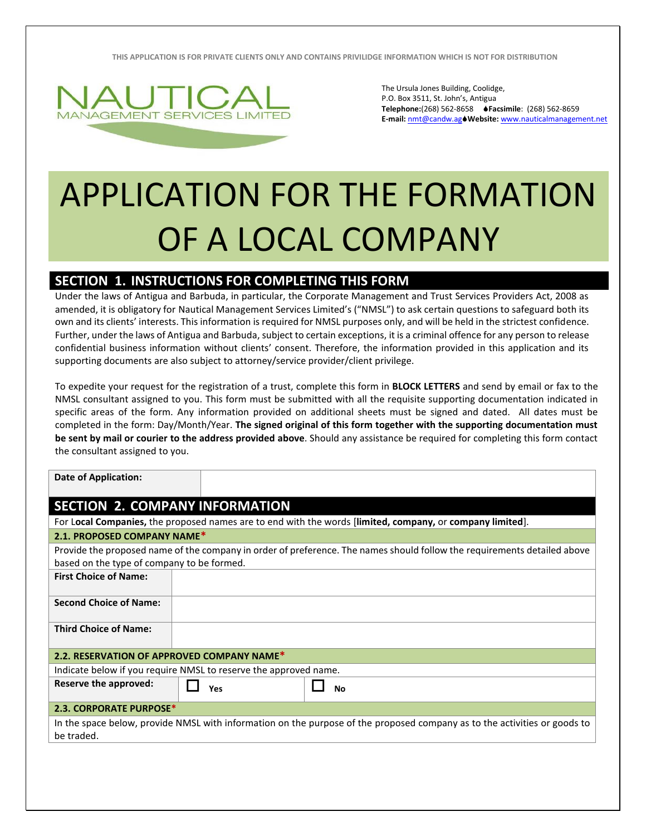**THIS APPLICATION IS FOR PRIVATE CLIENTS ONLY AND CONTAINS PRIVILIDGE INFORMATION WHICH IS NOT FOR DISTRIBUTION**



The Ursula Jones Building, Coolidge, P.O. Box 3511, St. John's, Antigua **Telephone:**(268) 562-8658 **Facsimile**: (268) 562-8659 **E-mail:** [nmt@candw.ag](mailto:nmt@candw.ag)**Website:** www.nauticalmanagement.net

## APPLICATION FOR THE FORMATION OF A LOCAL COMPANY

## **SECTION 1. INSTRUCTIONS FOR COMPLETING THIS FORM**

Under the laws of Antigua and Barbuda, in particular, the Corporate Management and Trust Services Providers Act, 2008 as amended, it is obligatory for Nautical Management Services Limited's ("NMSL") to ask certain questions to safeguard both its own and its clients' interests. This information is required for NMSL purposes only, and will be held in the strictest confidence. Further, under the laws of Antigua and Barbuda, subject to certain exceptions, it is a criminal offence for any person to release confidential business information without clients' consent. Therefore, the information provided in this application and its supporting documents are also subject to attorney/service provider/client privilege.

To expedite your request for the registration of a trust, complete this form in **BLOCK LETTERS** and send by email or fax to the NMSL consultant assigned to you. This form must be submitted with all the requisite supporting documentation indicated in specific areas of the form. Any information provided on additional sheets must be signed and dated. All dates must be completed in the form: Day/Month/Year. **The signed original of this form together with the supporting documentation must be sent by mail or courier to the address provided above**. Should any assistance be required for completing this form contact the consultant assigned to you.

| <b>Date of Application:</b>                                                                                                             |                                                                                                                                                                        |                                                                                                           |  |  |  |  |  |
|-----------------------------------------------------------------------------------------------------------------------------------------|------------------------------------------------------------------------------------------------------------------------------------------------------------------------|-----------------------------------------------------------------------------------------------------------|--|--|--|--|--|
| <b>SECTION 2. COMPANY INFORMATION</b>                                                                                                   |                                                                                                                                                                        |                                                                                                           |  |  |  |  |  |
|                                                                                                                                         |                                                                                                                                                                        | For Local Companies, the proposed names are to end with the words [limited, company, or company limited]. |  |  |  |  |  |
| 2.1. PROPOSED COMPANY NAME*                                                                                                             |                                                                                                                                                                        |                                                                                                           |  |  |  |  |  |
|                                                                                                                                         | Provide the proposed name of the company in order of preference. The names should follow the requirements detailed above<br>based on the type of company to be formed. |                                                                                                           |  |  |  |  |  |
| <b>First Choice of Name:</b>                                                                                                            |                                                                                                                                                                        |                                                                                                           |  |  |  |  |  |
| <b>Second Choice of Name:</b>                                                                                                           |                                                                                                                                                                        |                                                                                                           |  |  |  |  |  |
| <b>Third Choice of Name:</b>                                                                                                            |                                                                                                                                                                        |                                                                                                           |  |  |  |  |  |
| 2.2. RESERVATION OF APPROVED COMPANY NAME*                                                                                              |                                                                                                                                                                        |                                                                                                           |  |  |  |  |  |
| Indicate below if you require NMSL to reserve the approved name.                                                                        |                                                                                                                                                                        |                                                                                                           |  |  |  |  |  |
| Reserve the approved:                                                                                                                   | Yes                                                                                                                                                                    | <b>No</b>                                                                                                 |  |  |  |  |  |
| <b>2.3. CORPORATE PURPOSE*</b>                                                                                                          |                                                                                                                                                                        |                                                                                                           |  |  |  |  |  |
| In the space below, provide NMSL with information on the purpose of the proposed company as to the activities or goods to<br>be traded. |                                                                                                                                                                        |                                                                                                           |  |  |  |  |  |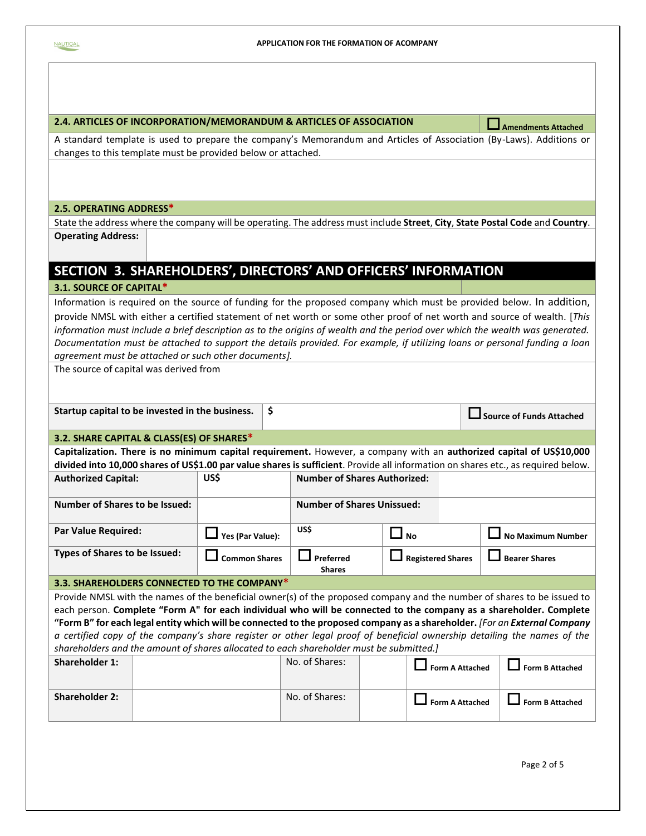| 2.4. ARTICLES OF INCORPORATION/MEMORANDUM & ARTICLES OF ASSOCIATION                                                                                                                                                                                       |                      |    |                                     |                 |                          |  | Amendments Attached             |
|-----------------------------------------------------------------------------------------------------------------------------------------------------------------------------------------------------------------------------------------------------------|----------------------|----|-------------------------------------|-----------------|--------------------------|--|---------------------------------|
| A standard template is used to prepare the company's Memorandum and Articles of Association (By-Laws). Additions or                                                                                                                                       |                      |    |                                     |                 |                          |  |                                 |
| changes to this template must be provided below or attached.                                                                                                                                                                                              |                      |    |                                     |                 |                          |  |                                 |
|                                                                                                                                                                                                                                                           |                      |    |                                     |                 |                          |  |                                 |
|                                                                                                                                                                                                                                                           |                      |    |                                     |                 |                          |  |                                 |
|                                                                                                                                                                                                                                                           |                      |    |                                     |                 |                          |  |                                 |
| 2.5. OPERATING ADDRESS*                                                                                                                                                                                                                                   |                      |    |                                     |                 |                          |  |                                 |
| State the address where the company will be operating. The address must include Street, City, State Postal Code and Country.                                                                                                                              |                      |    |                                     |                 |                          |  |                                 |
| <b>Operating Address:</b>                                                                                                                                                                                                                                 |                      |    |                                     |                 |                          |  |                                 |
|                                                                                                                                                                                                                                                           |                      |    |                                     |                 |                          |  |                                 |
|                                                                                                                                                                                                                                                           |                      |    |                                     |                 |                          |  |                                 |
| SECTION 3. SHAREHOLDERS', DIRECTORS' AND OFFICERS' INFORMATION                                                                                                                                                                                            |                      |    |                                     |                 |                          |  |                                 |
| 3.1. SOURCE OF CAPITAL*                                                                                                                                                                                                                                   |                      |    |                                     |                 |                          |  |                                 |
| Information is required on the source of funding for the proposed company which must be provided below. In addition,                                                                                                                                      |                      |    |                                     |                 |                          |  |                                 |
| provide NMSL with either a certified statement of net worth or some other proof of net worth and source of wealth. [This                                                                                                                                  |                      |    |                                     |                 |                          |  |                                 |
| information must include a brief description as to the origins of wealth and the period over which the wealth was generated.                                                                                                                              |                      |    |                                     |                 |                          |  |                                 |
| Documentation must be attached to support the details provided. For example, if utilizing loans or personal funding a loan                                                                                                                                |                      |    |                                     |                 |                          |  |                                 |
| agreement must be attached or such other documents].                                                                                                                                                                                                      |                      |    |                                     |                 |                          |  |                                 |
| The source of capital was derived from                                                                                                                                                                                                                    |                      |    |                                     |                 |                          |  |                                 |
|                                                                                                                                                                                                                                                           |                      |    |                                     |                 |                          |  |                                 |
|                                                                                                                                                                                                                                                           |                      |    |                                     |                 |                          |  |                                 |
| Startup capital to be invested in the business.                                                                                                                                                                                                           |                      | \$ |                                     |                 |                          |  | <b>Source of Funds Attached</b> |
| 3.2. SHARE CAPITAL & CLASS(ES) OF SHARES*                                                                                                                                                                                                                 |                      |    |                                     |                 |                          |  |                                 |
| Capitalization. There is no minimum capital requirement. However, a company with an authorized capital of US\$10,000<br>divided into 10,000 shares of US\$1.00 par value shares is sufficient. Provide all information on shares etc., as required below. |                      |    |                                     |                 |                          |  |                                 |
| <b>Authorized Capital:</b>                                                                                                                                                                                                                                | US\$                 |    | <b>Number of Shares Authorized:</b> |                 |                          |  |                                 |
|                                                                                                                                                                                                                                                           |                      |    |                                     |                 |                          |  |                                 |
| <b>Number of Shares to be Issued:</b>                                                                                                                                                                                                                     |                      |    | <b>Number of Shares Unissued:</b>   |                 |                          |  |                                 |
|                                                                                                                                                                                                                                                           |                      |    |                                     |                 |                          |  |                                 |
| <b>Par Value Required:</b>                                                                                                                                                                                                                                | Yes (Par Value):     |    | US\$                                | $\mathsf{l}$ No |                          |  | <b>No Maximum Number</b>        |
| Types of Shares to be Issued:                                                                                                                                                                                                                             | <b>Common Shares</b> |    | —<br>Preferred                      |                 | <b>Registered Shares</b> |  | <b>Bearer Shares</b>            |
|                                                                                                                                                                                                                                                           |                      |    | <b>Shares</b>                       |                 |                          |  |                                 |
| 3.3. SHAREHOLDERS CONNECTED TO THE COMPANY*                                                                                                                                                                                                               |                      |    |                                     |                 |                          |  |                                 |
| Provide NMSL with the names of the beneficial owner(s) of the proposed company and the number of shares to be issued to                                                                                                                                   |                      |    |                                     |                 |                          |  |                                 |
| each person. Complete "Form A" for each individual who will be connected to the company as a shareholder. Complete                                                                                                                                        |                      |    |                                     |                 |                          |  |                                 |
| "Form B" for each legal entity which will be connected to the proposed company as a shareholder. [For an External Company                                                                                                                                 |                      |    |                                     |                 |                          |  |                                 |
| a certified copy of the company's share register or other legal proof of beneficial ownership detailing the names of the                                                                                                                                  |                      |    |                                     |                 |                          |  |                                 |
| shareholders and the amount of shares allocated to each shareholder must be submitted.]                                                                                                                                                                   |                      |    |                                     |                 |                          |  |                                 |
| Shareholder 1:                                                                                                                                                                                                                                            |                      |    | No. of Shares:                      |                 | <b>Form A Attached</b>   |  | <b>Form B Attached</b>          |
|                                                                                                                                                                                                                                                           |                      |    |                                     |                 |                          |  |                                 |
| <b>Shareholder 2:</b>                                                                                                                                                                                                                                     |                      |    | No. of Shares:                      |                 |                          |  |                                 |
|                                                                                                                                                                                                                                                           |                      |    |                                     |                 | <b>Form A Attached</b>   |  | <b>Form B Attached</b>          |
|                                                                                                                                                                                                                                                           |                      |    |                                     |                 |                          |  |                                 |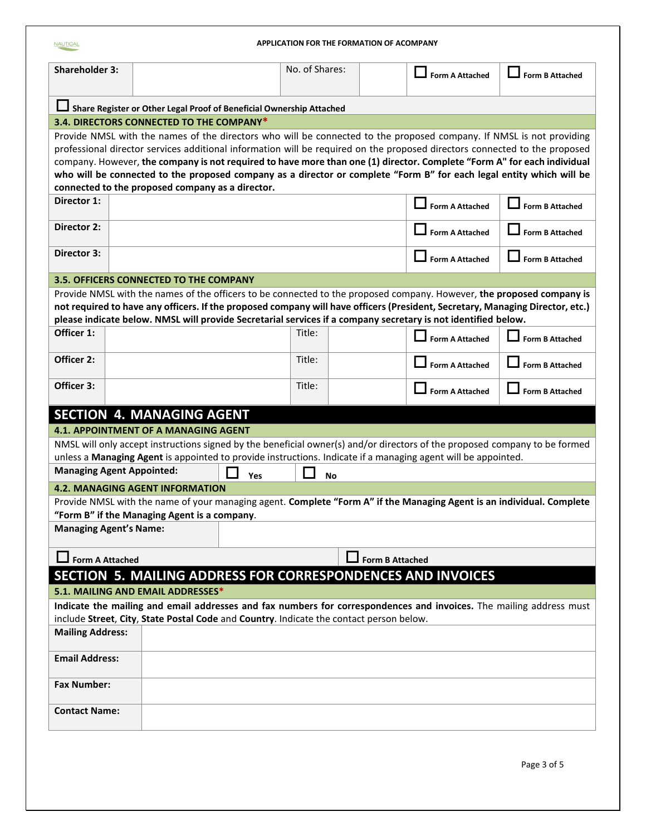| APPLICATION FOR THE FORMATION OF ACOMPANY<br><b>NAUTICAL</b>                                                        |                                                                                                                               |     |                |    |                        |                        |  |  |  |
|---------------------------------------------------------------------------------------------------------------------|-------------------------------------------------------------------------------------------------------------------------------|-----|----------------|----|------------------------|------------------------|--|--|--|
| <b>Shareholder 3:</b>                                                                                               |                                                                                                                               |     | No. of Shares: |    | <b>Form A Attached</b> | Form B Attached        |  |  |  |
|                                                                                                                     |                                                                                                                               |     |                |    |                        |                        |  |  |  |
|                                                                                                                     | Share Register or Other Legal Proof of Beneficial Ownership Attached<br>3.4. DIRECTORS CONNECTED TO THE COMPANY*              |     |                |    |                        |                        |  |  |  |
|                                                                                                                     | Provide NMSL with the names of the directors who will be connected to the proposed company. If NMSL is not providing          |     |                |    |                        |                        |  |  |  |
|                                                                                                                     | professional director services additional information will be required on the proposed directors connected to the proposed    |     |                |    |                        |                        |  |  |  |
|                                                                                                                     | company. However, the company is not required to have more than one (1) director. Complete "Form A" for each individual       |     |                |    |                        |                        |  |  |  |
|                                                                                                                     | who will be connected to the proposed company as a director or complete "Form B" for each legal entity which will be          |     |                |    |                        |                        |  |  |  |
|                                                                                                                     | connected to the proposed company as a director.                                                                              |     |                |    |                        |                        |  |  |  |
| Director 1:                                                                                                         |                                                                                                                               |     |                |    | <b>Form A Attached</b> | <b>Form B Attached</b> |  |  |  |
| Director 2:                                                                                                         |                                                                                                                               |     |                |    | <b>Form A Attached</b> | <b>Form B Attached</b> |  |  |  |
| Director 3:                                                                                                         |                                                                                                                               |     |                |    | <b>Form A Attached</b> | <b>Form B Attached</b> |  |  |  |
|                                                                                                                     | <b>3.5. OFFICERS CONNECTED TO THE COMPANY</b>                                                                                 |     |                |    |                        |                        |  |  |  |
|                                                                                                                     | Provide NMSL with the names of the officers to be connected to the proposed company. However, the proposed company is         |     |                |    |                        |                        |  |  |  |
|                                                                                                                     | not required to have any officers. If the proposed company will have officers (President, Secretary, Managing Director, etc.) |     |                |    |                        |                        |  |  |  |
|                                                                                                                     | please indicate below. NMSL will provide Secretarial services if a company secretary is not identified below.                 |     |                |    |                        |                        |  |  |  |
| Officer 1:                                                                                                          |                                                                                                                               |     | Title:         |    | <b>Form A Attached</b> | <b>Form B Attached</b> |  |  |  |
| Officer 2:                                                                                                          |                                                                                                                               |     | Title:         |    | <b>Form A Attached</b> | <b>Form B Attached</b> |  |  |  |
| Officer 3:                                                                                                          |                                                                                                                               |     | Title:         |    | <b>Form A Attached</b> | <b>Form B Attached</b> |  |  |  |
|                                                                                                                     | <b>SECTION 4. MANAGING AGENT</b>                                                                                              |     |                |    |                        |                        |  |  |  |
|                                                                                                                     | <b>4.1. APPOINTMENT OF A MANAGING AGENT</b>                                                                                   |     |                |    |                        |                        |  |  |  |
|                                                                                                                     | NMSL will only accept instructions signed by the beneficial owner(s) and/or directors of the proposed company to be formed    |     |                |    |                        |                        |  |  |  |
|                                                                                                                     | unless a Managing Agent is appointed to provide instructions. Indicate if a managing agent will be appointed.                 |     |                |    |                        |                        |  |  |  |
|                                                                                                                     | <b>Managing Agent Appointed:</b>                                                                                              | Yes |                | No |                        |                        |  |  |  |
|                                                                                                                     | <b>4.2. MANAGING AGENT INFORMATION</b>                                                                                        |     |                |    |                        |                        |  |  |  |
|                                                                                                                     | Provide NMSL with the name of your managing agent. Complete "Form A" if the Managing Agent is an individual. Complete         |     |                |    |                        |                        |  |  |  |
|                                                                                                                     | "Form B" if the Managing Agent is a company.                                                                                  |     |                |    |                        |                        |  |  |  |
|                                                                                                                     | <b>Managing Agent's Name:</b>                                                                                                 |     |                |    |                        |                        |  |  |  |
|                                                                                                                     | <b>Form A Attached</b><br><b>Form B Attached</b>                                                                              |     |                |    |                        |                        |  |  |  |
|                                                                                                                     |                                                                                                                               |     |                |    |                        |                        |  |  |  |
| SECTION 5. MAILING ADDRESS FOR CORRESPONDENCES AND INVOICES<br>5.1. MAILING AND EMAIL ADDRESSES*                    |                                                                                                                               |     |                |    |                        |                        |  |  |  |
| Indicate the mailing and email addresses and fax numbers for correspondences and invoices. The mailing address must |                                                                                                                               |     |                |    |                        |                        |  |  |  |
| include Street, City, State Postal Code and Country. Indicate the contact person below.                             |                                                                                                                               |     |                |    |                        |                        |  |  |  |
| <b>Mailing Address:</b>                                                                                             |                                                                                                                               |     |                |    |                        |                        |  |  |  |
| <b>Email Address:</b>                                                                                               |                                                                                                                               |     |                |    |                        |                        |  |  |  |
| <b>Fax Number:</b>                                                                                                  |                                                                                                                               |     |                |    |                        |                        |  |  |  |
|                                                                                                                     | <b>Contact Name:</b>                                                                                                          |     |                |    |                        |                        |  |  |  |
|                                                                                                                     |                                                                                                                               |     |                |    |                        |                        |  |  |  |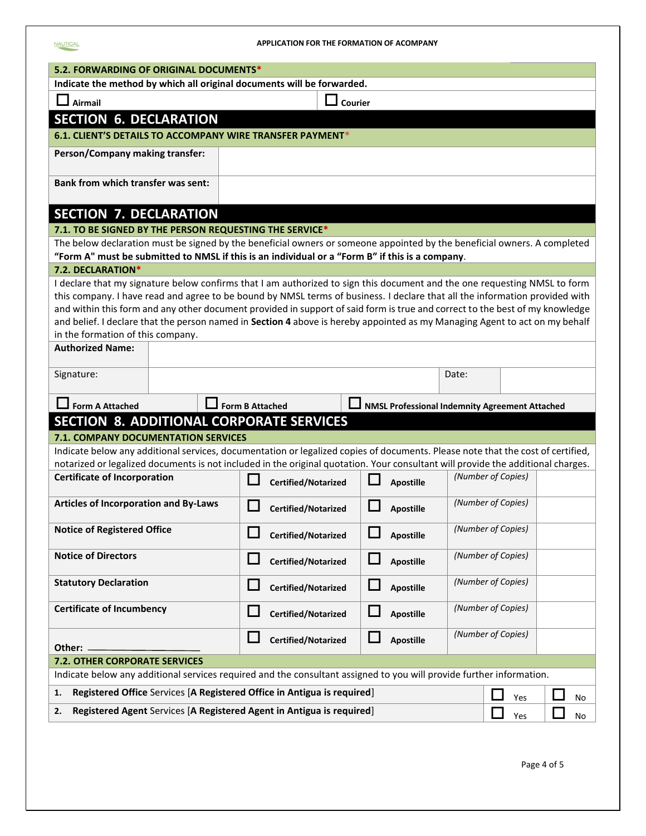| 5.2. FORWARDING OF ORIGINAL DOCUMENTS*                                                                               |                       |                                                                                                                                                                                                                                                             |          |                                                       |                    |     |    |
|----------------------------------------------------------------------------------------------------------------------|-----------------------|-------------------------------------------------------------------------------------------------------------------------------------------------------------------------------------------------------------------------------------------------------------|----------|-------------------------------------------------------|--------------------|-----|----|
| Indicate the method by which all original documents will be forwarded.                                               |                       |                                                                                                                                                                                                                                                             |          |                                                       |                    |     |    |
| $\Box$ Airmail                                                                                                       | $\mathsfsfL}$ Courier |                                                                                                                                                                                                                                                             |          |                                                       |                    |     |    |
| <b>SECTION 6. DECLARATION</b>                                                                                        |                       |                                                                                                                                                                                                                                                             |          |                                                       |                    |     |    |
|                                                                                                                      |                       | <b>6.1. CLIENT'S DETAILS TO ACCOMPANY WIRE TRANSFER PAYMENT*</b>                                                                                                                                                                                            |          |                                                       |                    |     |    |
| Person/Company making transfer:                                                                                      |                       |                                                                                                                                                                                                                                                             |          |                                                       |                    |     |    |
|                                                                                                                      |                       |                                                                                                                                                                                                                                                             |          |                                                       |                    |     |    |
| <b>Bank from which transfer was sent:</b>                                                                            |                       |                                                                                                                                                                                                                                                             |          |                                                       |                    |     |    |
|                                                                                                                      |                       |                                                                                                                                                                                                                                                             |          |                                                       |                    |     |    |
| <b>SECTION 7. DECLARATION</b>                                                                                        |                       |                                                                                                                                                                                                                                                             |          |                                                       |                    |     |    |
|                                                                                                                      |                       | 7.1. TO BE SIGNED BY THE PERSON REQUESTING THE SERVICE*                                                                                                                                                                                                     |          |                                                       |                    |     |    |
|                                                                                                                      |                       | The below declaration must be signed by the beneficial owners or someone appointed by the beneficial owners. A completed                                                                                                                                    |          |                                                       |                    |     |    |
|                                                                                                                      |                       | "Form A" must be submitted to NMSL if this is an individual or a "Form B" if this is a company.                                                                                                                                                             |          |                                                       |                    |     |    |
| 7.2. DECLARATION*                                                                                                    |                       |                                                                                                                                                                                                                                                             |          |                                                       |                    |     |    |
|                                                                                                                      |                       | I declare that my signature below confirms that I am authorized to sign this document and the one requesting NMSL to form                                                                                                                                   |          |                                                       |                    |     |    |
|                                                                                                                      |                       | this company. I have read and agree to be bound by NMSL terms of business. I declare that all the information provided with<br>and within this form and any other document provided in support of said form is true and correct to the best of my knowledge |          |                                                       |                    |     |    |
|                                                                                                                      |                       | and belief. I declare that the person named in Section 4 above is hereby appointed as my Managing Agent to act on my behalf                                                                                                                                 |          |                                                       |                    |     |    |
| in the formation of this company.                                                                                    |                       |                                                                                                                                                                                                                                                             |          |                                                       |                    |     |    |
| <b>Authorized Name:</b>                                                                                              |                       |                                                                                                                                                                                                                                                             |          |                                                       |                    |     |    |
|                                                                                                                      |                       |                                                                                                                                                                                                                                                             |          |                                                       |                    |     |    |
| Signature:                                                                                                           |                       |                                                                                                                                                                                                                                                             |          |                                                       | Date:              |     |    |
|                                                                                                                      |                       |                                                                                                                                                                                                                                                             |          |                                                       |                    |     |    |
| $\Box$ Form A Attached                                                                                               |                       | $\Box$ Form B Attached                                                                                                                                                                                                                                      |          | <b>NMSL Professional Indemnity Agreement Attached</b> |                    |     |    |
|                                                                                                                      |                       | <b>SECTION 8. ADDITIONAL CORPORATE SERVICES</b>                                                                                                                                                                                                             |          |                                                       |                    |     |    |
| 7.1. COMPANY DOCUMENTATION SERVICES                                                                                  |                       |                                                                                                                                                                                                                                                             |          |                                                       |                    |     |    |
|                                                                                                                      |                       | Indicate below any additional services, documentation or legalized copies of documents. Please note that the cost of certified,                                                                                                                             |          |                                                       |                    |     |    |
|                                                                                                                      |                       | notarized or legalized documents is not included in the original quotation. Your consultant will provide the additional charges.                                                                                                                            |          |                                                       |                    |     |    |
| <b>Certificate of Incorporation</b>                                                                                  |                       | <b>Certified/Notarized</b>                                                                                                                                                                                                                                  |          | <b>Apostille</b>                                      | (Number of Copies) |     |    |
| Articles of Incorporation and By-Laws                                                                                |                       | <b>Certified/Notarized</b>                                                                                                                                                                                                                                  |          | <b>Apostille</b>                                      | (Number of Copies) |     |    |
| <b>Notice of Registered Office</b>                                                                                   |                       |                                                                                                                                                                                                                                                             |          |                                                       | (Number of Copies) |     |    |
|                                                                                                                      |                       | <b>Certified/Notarized</b>                                                                                                                                                                                                                                  |          | <b>Apostille</b>                                      |                    |     |    |
| <b>Notice of Directors</b>                                                                                           |                       | П<br>Certified/Notarized                                                                                                                                                                                                                                    | $\Box$   | <b>Apostille</b>                                      | (Number of Copies) |     |    |
|                                                                                                                      |                       |                                                                                                                                                                                                                                                             |          |                                                       |                    |     |    |
| <b>Statutory Declaration</b>                                                                                         |                       | ப<br>Certified/Notarized                                                                                                                                                                                                                                    | ⊔        | <b>Apostille</b>                                      | (Number of Copies) |     |    |
|                                                                                                                      |                       |                                                                                                                                                                                                                                                             |          |                                                       |                    |     |    |
| <b>Certificate of Incumbency</b>                                                                                     |                       | Certified/Notarized                                                                                                                                                                                                                                         | H        | <b>Apostille</b>                                      | (Number of Copies) |     |    |
|                                                                                                                      |                       | Certified/Notarized                                                                                                                                                                                                                                         | $\sqcup$ | <b>Apostille</b>                                      | (Number of Copies) |     |    |
| Other:                                                                                                               |                       |                                                                                                                                                                                                                                                             |          |                                                       |                    |     |    |
| 7.2. OTHER CORPORATE SERVICES                                                                                        |                       |                                                                                                                                                                                                                                                             |          |                                                       |                    |     |    |
| Indicate below any additional services required and the consultant assigned to you will provide further information. |                       |                                                                                                                                                                                                                                                             |          |                                                       |                    |     |    |
| 1.                                                                                                                   |                       | Registered Office Services [A Registered Office in Antigua is required]                                                                                                                                                                                     |          |                                                       |                    | Yes | No |
| Registered Agent Services [A Registered Agent in Antigua is required]<br>2.                                          |                       |                                                                                                                                                                                                                                                             |          |                                                       |                    |     |    |
| Yes<br>No                                                                                                            |                       |                                                                                                                                                                                                                                                             |          |                                                       |                    |     |    |